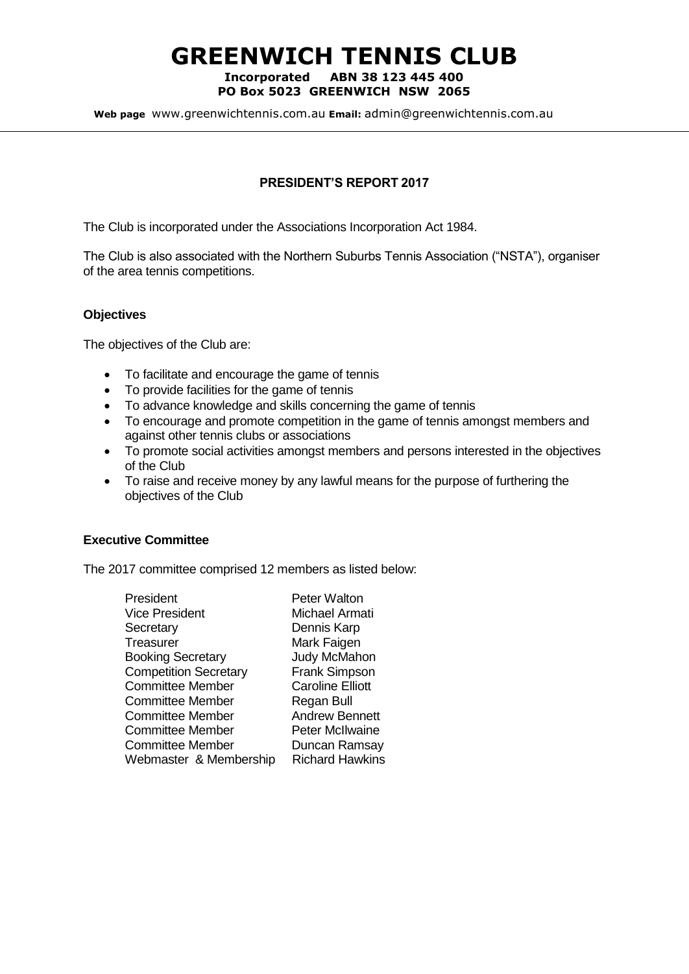# **GREENWICH TENNIS CLUB**

#### **Incorporated ABN 38 123 445 400 PO Box 5023 GREENWICH NSW 2065**

**Web page** www.greenwichtennis.com.au **Email:** admin@greenwichtennis.com.au

# **PRESIDENT'S REPORT 2017**

The Club is incorporated under the Associations Incorporation Act 1984.

The Club is also associated with the Northern Suburbs Tennis Association ("NSTA"), organiser of the area tennis competitions.

## **Objectives**

The objectives of the Club are:

- To facilitate and encourage the game of tennis
- To provide facilities for the game of tennis
- To advance knowledge and skills concerning the game of tennis
- To encourage and promote competition in the game of tennis amongst members and against other tennis clubs or associations
- To promote social activities amongst members and persons interested in the objectives of the Club
- To raise and receive money by any lawful means for the purpose of furthering the objectives of the Club

#### **Executive Committee**

The 2017 committee comprised 12 members as listed below:

| President                    | <b>Peter Walton</b>     |
|------------------------------|-------------------------|
| <b>Vice President</b>        | Michael Armati          |
| Secretary                    | Dennis Karp             |
| Treasurer                    | Mark Faigen             |
| <b>Booking Secretary</b>     | <b>Judy McMahon</b>     |
| <b>Competition Secretary</b> | <b>Frank Simpson</b>    |
| <b>Committee Member</b>      | <b>Caroline Elliott</b> |
| <b>Committee Member</b>      | Regan Bull              |
| <b>Committee Member</b>      | <b>Andrew Bennett</b>   |
| <b>Committee Member</b>      | <b>Peter McIlwaine</b>  |
| <b>Committee Member</b>      | Duncan Ramsay           |
| Webmaster & Membership       | <b>Richard Hawkins</b>  |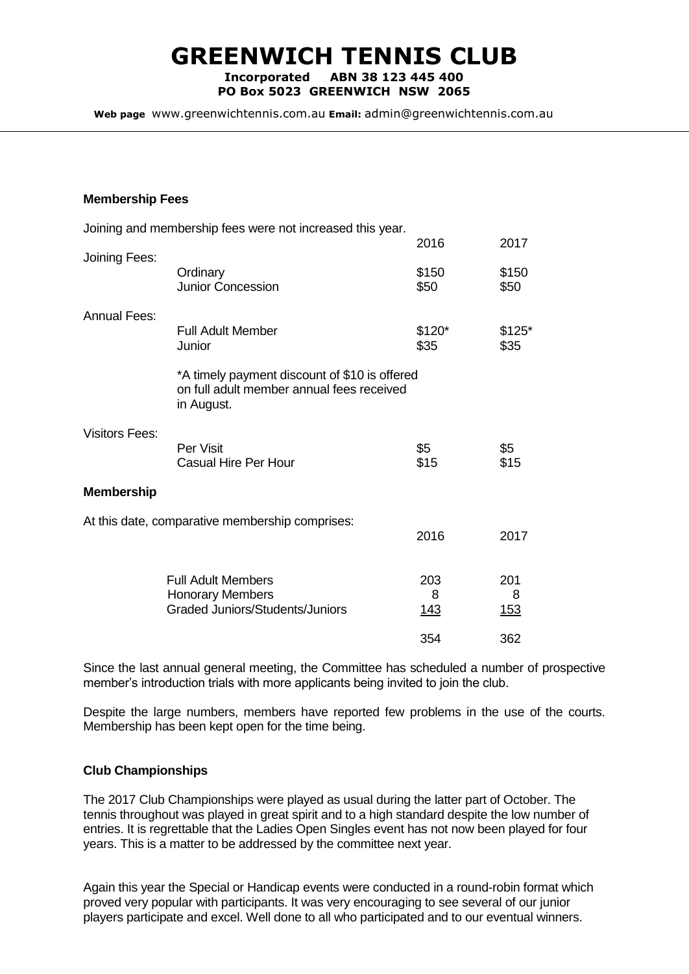# **GREENWICH TENNIS CLUB**

**Incorporated ABN 38 123 445 400 PO Box 5023 GREENWICH NSW 2065**

**Web page** www.greenwichtennis.com.au **Email:** admin@greenwichtennis.com.au

#### **Membership Fees**

|                       | Joining and membership fees were not increased this year.                                                |                         |                         |
|-----------------------|----------------------------------------------------------------------------------------------------------|-------------------------|-------------------------|
|                       |                                                                                                          | 2016                    | 2017                    |
| Joining Fees:         | Ordinary<br>Junior Concession                                                                            | \$150<br>\$50           | \$150<br>\$50           |
| <b>Annual Fees:</b>   | <b>Full Adult Member</b><br>Junior                                                                       | $$120*$<br>\$35         | $$125*$<br>\$35         |
|                       | *A timely payment discount of \$10 is offered<br>on full adult member annual fees received<br>in August. |                         |                         |
| <b>Visitors Fees:</b> | Per Visit<br><b>Casual Hire Per Hour</b>                                                                 | \$5<br>\$15             | \$5<br>\$15             |
| <b>Membership</b>     |                                                                                                          |                         |                         |
|                       | At this date, comparative membership comprises:                                                          | 2016                    | 2017                    |
|                       | <b>Full Adult Members</b><br><b>Honorary Members</b><br><b>Graded Juniors/Students/Juniors</b>           | 203<br>8<br><u> 143</u> | 201<br>8<br><u> 153</u> |
|                       |                                                                                                          | 354                     | 362                     |

Since the last annual general meeting, the Committee has scheduled a number of prospective member's introduction trials with more applicants being invited to join the club.

Despite the large numbers, members have reported few problems in the use of the courts. Membership has been kept open for the time being.

## **Club Championships**

The 2017 Club Championships were played as usual during the latter part of October. The tennis throughout was played in great spirit and to a high standard despite the low number of entries. It is regrettable that the Ladies Open Singles event has not now been played for four years. This is a matter to be addressed by the committee next year.

Again this year the Special or Handicap events were conducted in a round-robin format which proved very popular with participants. It was very encouraging to see several of our junior players participate and excel. Well done to all who participated and to our eventual winners.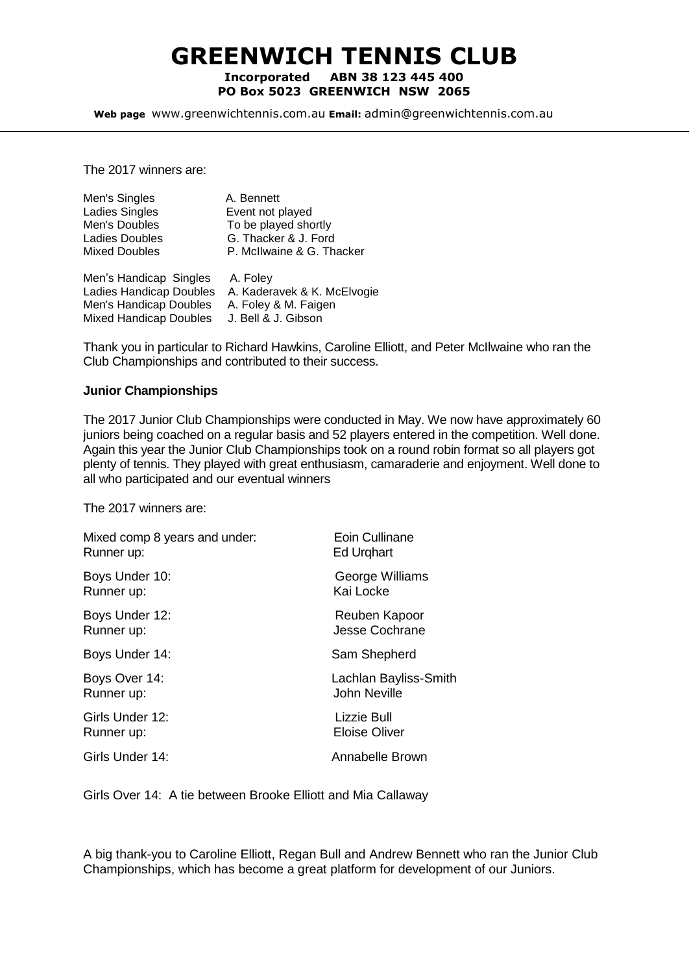# **GREENWICH TENNIS CLUB Incorporated ABN 38 123 445 400 PO Box 5023 GREENWICH NSW 2065**

**Web page** www.greenwichtennis.com.au **Email:** admin@greenwichtennis.com.au

The 2017 winners are:

| Men's Singles           | A. Bennett                  |
|-------------------------|-----------------------------|
| Ladies Singles          | Event not played            |
| Men's Doubles           | To be played shortly        |
| Ladies Doubles          | G. Thacker & J. Ford        |
| <b>Mixed Doubles</b>    | P. McIlwaine & G. Thacker   |
| Men's Handicap Singles  | A. Foley                    |
| Ladies Handicap Doubles | A. Kaderavek & K. McElvogie |
| Men's Handicap Doubles  | A. Foley & M. Faigen        |
|                         |                             |

Mixed Handicap Doubles J. Bell & J. Gibson

Thank you in particular to Richard Hawkins, Caroline Elliott, and Peter McIlwaine who ran the Club Championships and contributed to their success.

#### **Junior Championships**

The 2017 Junior Club Championships were conducted in May. We now have approximately 60 juniors being coached on a regular basis and 52 players entered in the competition. Well done. Again this year the Junior Club Championships took on a round robin format so all players got plenty of tennis. They played with great enthusiasm, camaraderie and enjoyment. Well done to all who participated and our eventual winners

The 2017 winners are:

| Mixed comp 8 years and under: | Eoin Cullinane        |
|-------------------------------|-----------------------|
| Runner up:                    | <b>Ed Urghart</b>     |
| Boys Under 10:                | George Williams       |
| Runner up:                    | Kai Locke             |
| Boys Under 12:                | Reuben Kapoor         |
| Runner up:                    | <b>Jesse Cochrane</b> |
| Boys Under 14:                | Sam Shepherd          |
| Boys Over 14:                 | Lachlan Bayliss-Smith |
| Runner up:                    | <b>John Neville</b>   |
| Girls Under 12:               | Lizzie Bull           |
| Runner up:                    | <b>Eloise Oliver</b>  |
| Girls Under 14:               | Annabelle Brown       |

Girls Over 14: A tie between Brooke Elliott and Mia Callaway

A big thank-you to Caroline Elliott, Regan Bull and Andrew Bennett who ran the Junior Club Championships, which has become a great platform for development of our Juniors.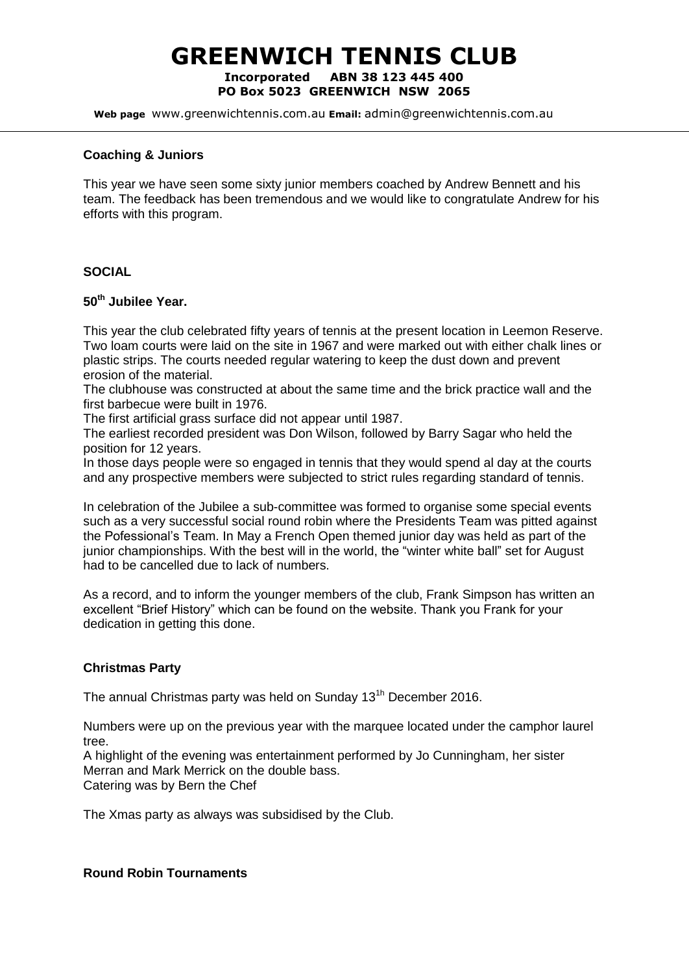# **GREENWICH TENNIS CLUB Incorporated ABN 38 123 445 400**

**PO Box 5023 GREENWICH NSW 2065**

**Web page** www.greenwichtennis.com.au **Email:** admin@greenwichtennis.com.au

### **Coaching & Juniors**

This year we have seen some sixty junior members coached by Andrew Bennett and his team. The feedback has been tremendous and we would like to congratulate Andrew for his efforts with this program.

## **SOCIAL**

# **50th Jubilee Year.**

This year the club celebrated fifty years of tennis at the present location in Leemon Reserve. Two loam courts were laid on the site in 1967 and were marked out with either chalk lines or plastic strips. The courts needed regular watering to keep the dust down and prevent erosion of the material.

The clubhouse was constructed at about the same time and the brick practice wall and the first barbecue were built in 1976.

The first artificial grass surface did not appear until 1987.

The earliest recorded president was Don Wilson, followed by Barry Sagar who held the position for 12 years.

In those days people were so engaged in tennis that they would spend al day at the courts and any prospective members were subjected to strict rules regarding standard of tennis.

In celebration of the Jubilee a sub-committee was formed to organise some special events such as a very successful social round robin where the Presidents Team was pitted against the Pofessional's Team. In May a French Open themed junior day was held as part of the junior championships. With the best will in the world, the "winter white ball" set for August had to be cancelled due to lack of numbers.

As a record, and to inform the younger members of the club, Frank Simpson has written an excellent "Brief History" which can be found on the website. Thank you Frank for your dedication in getting this done.

#### **Christmas Party**

The annual Christmas party was held on Sunday 13<sup>th</sup> December 2016.

Numbers were up on the previous year with the marquee located under the camphor laurel tree.

A highlight of the evening was entertainment performed by Jo Cunningham, her sister Merran and Mark Merrick on the double bass. Catering was by Bern the Chef

The Xmas party as always was subsidised by the Club.

## **Round Robin Tournaments**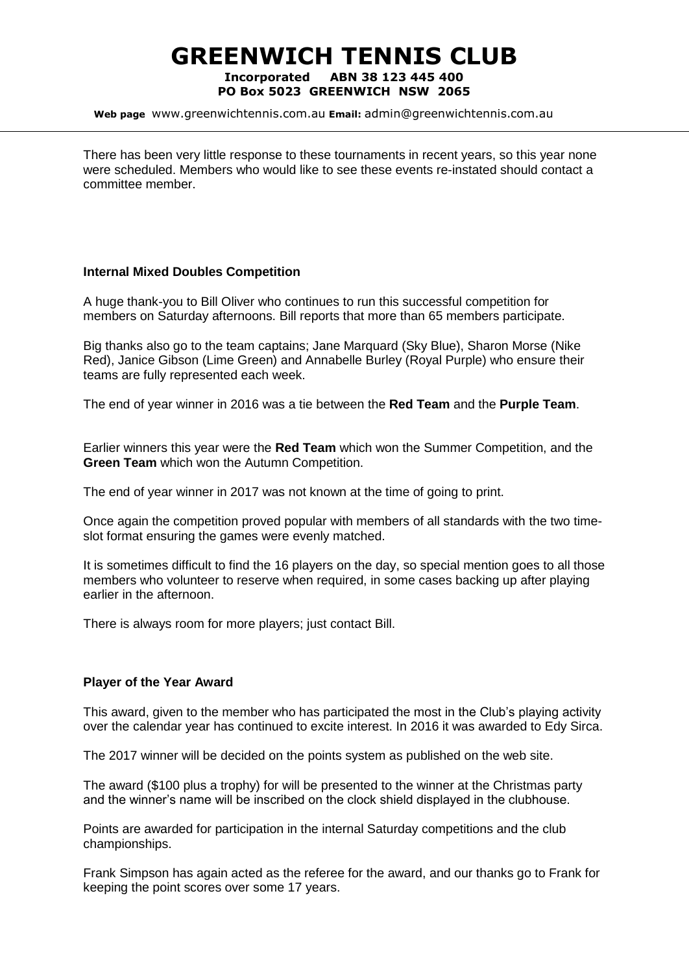# **GREENWICH TENNIS CLUB Incorporated ABN 38 123 445 400**

# **PO Box 5023 GREENWICH NSW 2065**

**Web page** www.greenwichtennis.com.au **Email:** admin@greenwichtennis.com.au

There has been very little response to these tournaments in recent years, so this year none were scheduled. Members who would like to see these events re-instated should contact a committee member.

## **Internal Mixed Doubles Competition**

A huge thank-you to Bill Oliver who continues to run this successful competition for members on Saturday afternoons. Bill reports that more than 65 members participate.

Big thanks also go to the team captains; Jane Marquard (Sky Blue), Sharon Morse (Nike Red), Janice Gibson (Lime Green) and Annabelle Burley (Royal Purple) who ensure their teams are fully represented each week.

The end of year winner in 2016 was a tie between the **Red Team** and the **Purple Team**.

Earlier winners this year were the **Red Team** which won the Summer Competition, and the **Green Team** which won the Autumn Competition.

The end of year winner in 2017 was not known at the time of going to print.

Once again the competition proved popular with members of all standards with the two timeslot format ensuring the games were evenly matched.

It is sometimes difficult to find the 16 players on the day, so special mention goes to all those members who volunteer to reserve when required, in some cases backing up after playing earlier in the afternoon.

There is always room for more players; just contact Bill.

# **Player of the Year Award**

This award, given to the member who has participated the most in the Club's playing activity over the calendar year has continued to excite interest. In 2016 it was awarded to Edy Sirca.

The 2017 winner will be decided on the points system as published on the web site.

The award (\$100 plus a trophy) for will be presented to the winner at the Christmas party and the winner's name will be inscribed on the clock shield displayed in the clubhouse.

Points are awarded for participation in the internal Saturday competitions and the club championships.

Frank Simpson has again acted as the referee for the award, and our thanks go to Frank for keeping the point scores over some 17 years.